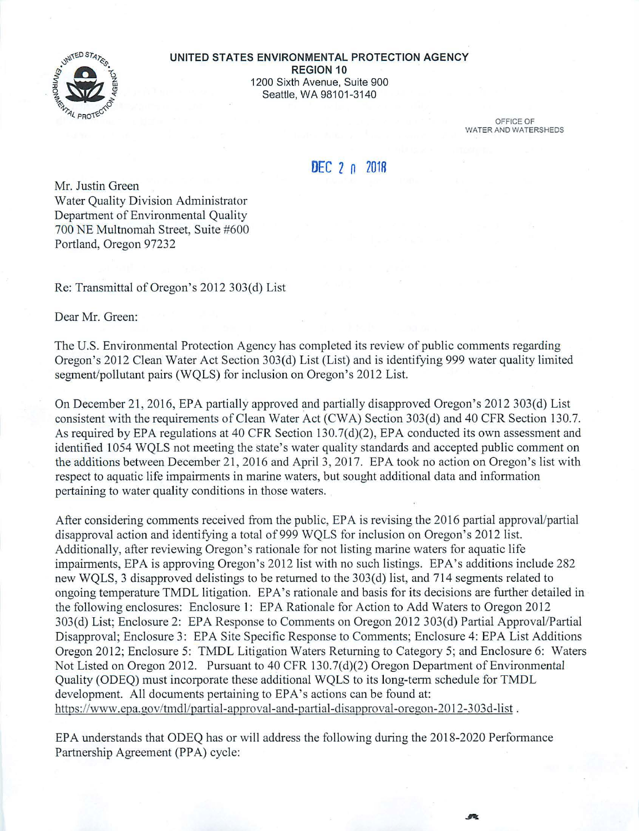

## **UNITED STATES ENVIRONMENTAL PROTECTION AGENCY REGION 10**  1200 Sixth Avenue, Suite 900 Seattle, WA 98101-3140

OFFICE OF WATER AND WATERSHEDS

## **DEC 2 n 201R**

Mr. Justin Green Water Quality Division Administrator Department of Environmental Quality 700 NE Multnomah Street, Suite #600 Portland, Oregon 97232

Re: Transmittal of Oregon's 2012 303(d) List

Dear Mr. Green:

The U.S. Environmental Protection Agency has completed its review of public comments regarding Oregon's 2012 Clean Water Act Section 303(d) List (List) and is identifying 999 water quality limited segment/pollutant pairs (WQLS) for inclusion on Oregon's 2012 List.

On December 21 , 2016, EPA pattially approved and partially disapproved Oregon's 2012 303(d) List consistent with the requirements of Clean Water Act (CWA) Section 303(d) and 40 CFR Section 130.7. As required by EPA regulations at 40 CFR Section 130.7(d)(2), EPA conducted its own assessment and identified 1054 WQLS not meeting the state's water quality standards and accepted public comment on the additions between December 21, 2016 and April 3, 2017. EPA took no action on Oregon's list with respect to aquatic life impairments in marine waters, but sought additional data and information pertaining to water quality conditions in those waters.

After considering comments received from the public, EPA is revising the 2016 partial approval/partial disapproval action and identifying a total of 999 WQLS for inclusion on Oregon's 2012 list. Additionally, after reviewing Oregon's rationale for not listing marine waters for aquatic life impairments, EPA is approving Oregon's 2012 list with no such listings. EPA's additions include 282 new WQLS, 3 disapproved delistings to be returned to the 303(d) list, and 714 segments related to ongoing temperature TMDL litigation. EPA's rationale and basis for its decisions are further detailed in the following enclosures: Enclosure 1: EPA Rationale for Action to Add Waters to Oregon 2012 303(d) List; Enclosure 2: EPA Response to Comments on Oregon 2012 303(d) Partial Approval/Partial Disapproval; Enclosure 3: EPA Site Specific Response to Comments; Enclosure 4: EPA List Additions Oregon 2012; Enclosure 5: TMDL Litigation Waters Returning to Category 5; and Enclosure 6: Waters Not Listed on Oregon 2012. Pursuant to 40 CFR 130.7(d)(2) Oregon Department of Environmental Quality (ODEQ) must incorporate these additional WQLS to its long-term schedule for TMDL development. All documents pertaining to EPA's actions can be found at: https://www.epa.gov/tmdl/partial-approval-and-partial-disapproval-oregon-2012-303d-list.

EPA understands that ODEQ has or will address the following during the 2018-2020 Performance Partnership Agreement (PPA) cycle:

标准